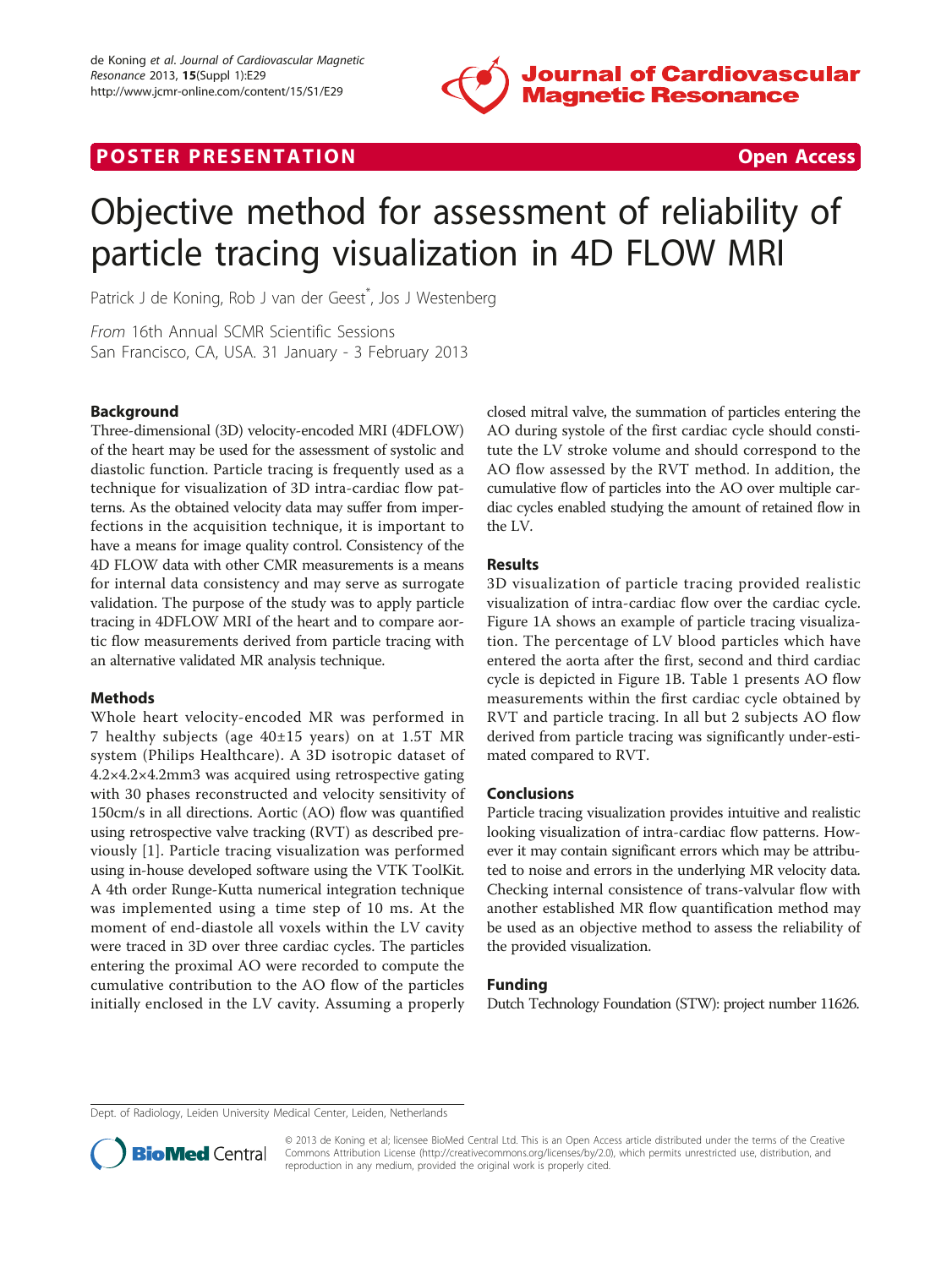

# **POSTER PRESENTATION CONSUMING THE SECOND CONSUMING THE SECOND CONSUMING THE SECOND CONSUMING THE SECOND CONSUMING THE SECOND CONSUMING THE SECOND CONSUMING THE SECOND CONSUMING THE SECOND CONSUMING THE SECOND CONSUMING**



# Objective method for assessment of reliability of particle tracing visualization in 4D FLOW MRI

Patrick J de Koning, Rob J van der Geest<sup>\*</sup>, Jos J Westenberg

From 16th Annual SCMR Scientific Sessions San Francisco, CA, USA. 31 January - 3 February 2013

# Background

Three-dimensional (3D) velocity-encoded MRI (4DFLOW) of the heart may be used for the assessment of systolic and diastolic function. Particle tracing is frequently used as a technique for visualization of 3D intra-cardiac flow patterns. As the obtained velocity data may suffer from imperfections in the acquisition technique, it is important to have a means for image quality control. Consistency of the 4D FLOW data with other CMR measurements is a means for internal data consistency and may serve as surrogate validation. The purpose of the study was to apply particle tracing in 4DFLOW MRI of the heart and to compare aortic flow measurements derived from particle tracing with an alternative validated MR analysis technique.

### Methods

Whole heart velocity-encoded MR was performed in 7 healthy subjects (age 40±15 years) on at 1.5T MR system (Philips Healthcare). A 3D isotropic dataset of 4.2×4.2×4.2mm3 was acquired using retrospective gating with 30 phases reconstructed and velocity sensitivity of 150cm/s in all directions. Aortic (AO) flow was quantified using retrospective valve tracking (RVT) as described previously [\[1](#page-1-0)]. Particle tracing visualization was performed using in-house developed software using the VTK ToolKit. A 4th order Runge-Kutta numerical integration technique was implemented using a time step of 10 ms. At the moment of end-diastole all voxels within the LV cavity were traced in 3D over three cardiac cycles. The particles entering the proximal AO were recorded to compute the cumulative contribution to the AO flow of the particles initially enclosed in the LV cavity. Assuming a properly

closed mitral valve, the summation of particles entering the AO during systole of the first cardiac cycle should constitute the LV stroke volume and should correspond to the AO flow assessed by the RVT method. In addition, the cumulative flow of particles into the AO over multiple cardiac cycles enabled studying the amount of retained flow in the LV.

## Results

3D visualization of particle tracing provided realistic visualization of intra-cardiac flow over the cardiac cycle. Figure [1A](#page-1-0) shows an example of particle tracing visualization. The percentage of LV blood particles which have entered the aorta after the first, second and third cardiac cycle is depicted in Figure [1B.](#page-1-0) Table [1](#page-1-0) presents AO flow measurements within the first cardiac cycle obtained by RVT and particle tracing. In all but 2 subjects AO flow derived from particle tracing was significantly under-estimated compared to RVT.

### Conclusions

Particle tracing visualization provides intuitive and realistic looking visualization of intra-cardiac flow patterns. However it may contain significant errors which may be attributed to noise and errors in the underlying MR velocity data. Checking internal consistence of trans-valvular flow with another established MR flow quantification method may be used as an objective method to assess the reliability of the provided visualization.

### Funding

Dutch Technology Foundation (STW): project number 11626.

Dept. of Radiology, Leiden University Medical Center, Leiden, Netherlands



© 2013 de Koning et al; licensee BioMed Central Ltd. This is an Open Access article distributed under the terms of the Creative Commons Attribution License [\(http://creativecommons.org/licenses/by/2.0](http://creativecommons.org/licenses/by/2.0)), which permits unrestricted use, distribution, and reproduction in any medium, provided the original work is properly cited.